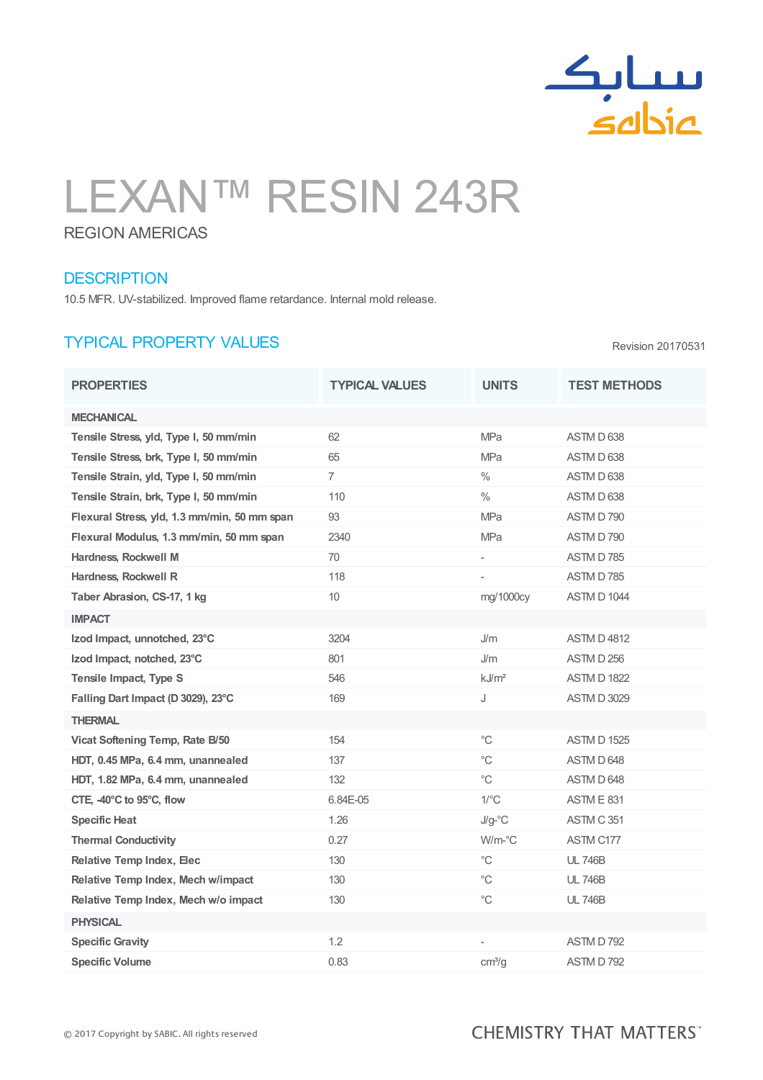

# LEXAN™ RESIN 243R

### REGION AMERICAS

#### **DESCRIPTION**

10.5 MFR. UV-stabilized. Improved flame retardance. Internal mold release.

## TYPICAL PROPERTY VALUES

Revision 20170531

| <b>PROPERTIES</b>                            | <b>TYPICAL VALUES</b> | <b>UNITS</b>         | <b>TEST METHODS</b> |
|----------------------------------------------|-----------------------|----------------------|---------------------|
| <b>MECHANICAL</b>                            |                       |                      |                     |
| Tensile Stress, yld, Type I, 50 mm/min       | 62                    | MPa                  | ASTM D 638          |
| Tensile Stress, brk, Type I, 50 mm/min       | 65                    | <b>MPa</b>           | ASTM D 638          |
| Tensile Strain, yld, Type I, 50 mm/min       | $\overline{7}$        | $\%$                 | ASTM D 638          |
| Tensile Strain, brk, Type I, 50 mm/min       | 110                   | $\%$                 | ASTM D 638          |
| Flexural Stress, yld, 1.3 mm/min, 50 mm span | 93                    | <b>MPa</b>           | ASTM D 790          |
| Flexural Modulus, 1.3 mm/min, 50 mm span     | 2340                  | <b>MPa</b>           | ASTM D 790          |
| Hardness, Rockwell M                         | 70                    | L,                   | <b>ASTM D785</b>    |
| Hardness, Rockwell R                         | 118                   | ÷,                   | <b>ASTM D785</b>    |
| Taber Abrasion, CS-17, 1 kg                  | 10 <sup>°</sup>       | mg/1000cy            | <b>ASTM D 1044</b>  |
| <b>IMPACT</b>                                |                       |                      |                     |
| Izod Impact, unnotched, 23°C                 | 3204                  | J/m                  | <b>ASTM D 4812</b>  |
| Izod Impact, notched, 23°C                   | 801                   | J/m                  | ASTM D 256          |
| Tensile Impact, Type S                       | 546                   | kJ/m <sup>2</sup>    | <b>ASTM D 1822</b>  |
| Falling Dart Impact (D 3029), 23°C           | 169                   | J                    | <b>ASTM D 3029</b>  |
| <b>THERMAL</b>                               |                       |                      |                     |
| Vicat Softening Temp, Rate B/50              | 154                   | $^{\circ}C$          | <b>ASTM D 1525</b>  |
| HDT, 0.45 MPa, 6.4 mm, unannealed            | 137                   | $^{\circ}C$          | ASTM D 648          |
| HDT, 1.82 MPa, 6.4 mm, unannealed            | 132                   | $^{\circ}C$          | ASTM D 648          |
| CTE, -40°C to 95°C, flow                     | 6.84E-05              | $1$ <sup>o</sup> $C$ | <b>ASTM E 831</b>   |
| <b>Specific Heat</b>                         | 1.26                  | $J/g$ -°C            | ASTM C 351          |
| <b>Thermal Conductivity</b>                  | 0.27                  | W/m-°C               | ASTM C177           |
| <b>Relative Temp Index, Elec</b>             | 130                   | $^{\circ}C$          | <b>UL 746B</b>      |
| Relative Temp Index, Mech w/impact           | 130                   | $^{\circ}C$          | <b>UL 746B</b>      |
| Relative Temp Index, Mech w/o impact         | 130                   | $^{\circ}C$          | <b>UL 746B</b>      |
| <b>PHYSICAL</b>                              |                       |                      |                     |
| <b>Specific Gravity</b>                      | 1.2                   |                      | <b>ASTM D792</b>    |
| <b>Specific Volume</b>                       | 0.83                  | cm <sup>3</sup> /q   | <b>ASTM D792</b>    |

## **CHEMISTRY THAT MATTERS"**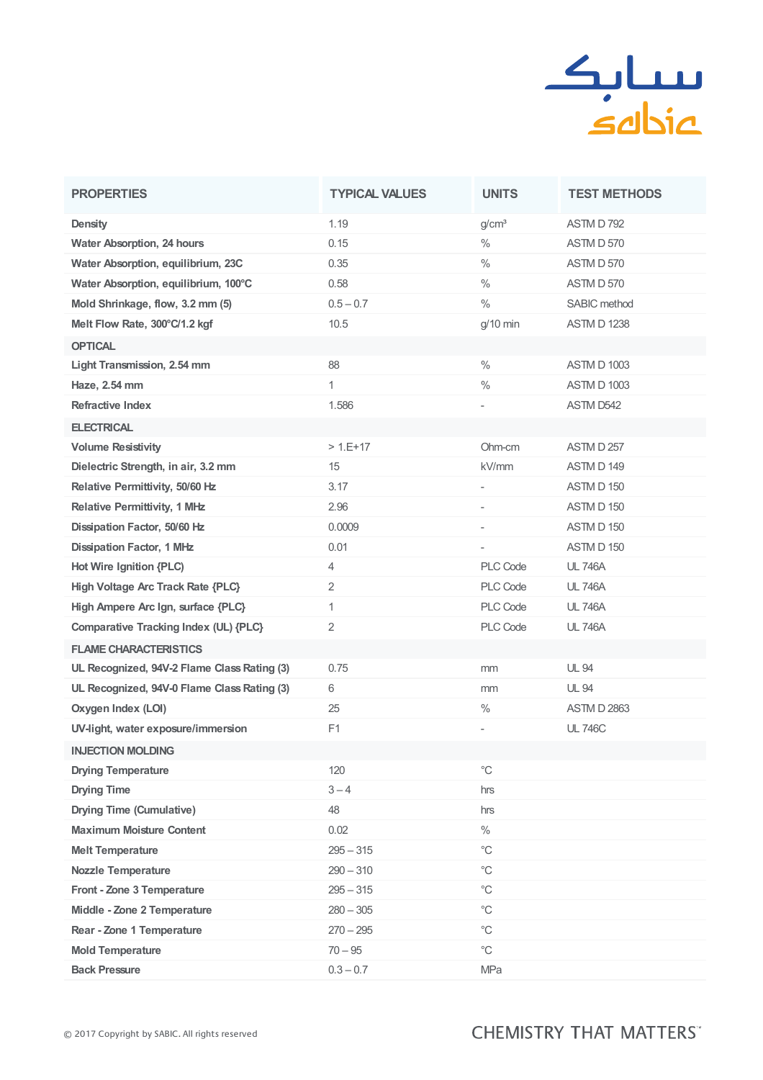

| <b>PROPERTIES</b>                           | <b>TYPICAL VALUES</b> | <b>UNITS</b>                 | <b>TEST METHODS</b> |
|---------------------------------------------|-----------------------|------------------------------|---------------------|
| <b>Density</b>                              | 1.19                  | g/cm <sup>3</sup>            | ASTM D 792          |
| <b>Water Absorption, 24 hours</b>           | 0.15                  | $\%$                         | <b>ASTM D 570</b>   |
| Water Absorption, equilibrium, 23C          | 0.35                  | $\frac{0}{0}$                | ASTM D 570          |
| Water Absorption, equilibrium, 100°C        | 0.58                  | $\%$                         | <b>ASTM D 570</b>   |
| Mold Shrinkage, flow, 3.2 mm (5)            | $0.5 - 0.7$           | $\frac{0}{0}$                | SABIC method        |
| Melt Flow Rate, 300°C/1.2 kgf               | 10.5                  | $g/10$ min                   | <b>ASTM D 1238</b>  |
| <b>OPTICAL</b>                              |                       |                              |                     |
| Light Transmission, 2.54 mm                 | 88                    | $\frac{0}{0}$                | ASTM D 1003         |
| Haze, 2.54 mm                               | $\mathbf{1}$          | $\%$                         | <b>ASTM D 1003</b>  |
| <b>Refractive Index</b>                     | 1.586                 |                              | ASTM D542           |
| <b>ELECTRICAL</b>                           |                       |                              |                     |
| <b>Volume Resistivity</b>                   | $>1.E+17$             | Ohm-cm                       | ASTM D 257          |
| Dielectric Strength, in air, 3.2 mm         | 15                    | kV/mm                        | ASTM D 149          |
| Relative Permittivity, 50/60 Hz             | 3.17                  | $\qquad \qquad \blacksquare$ | ASTM D 150          |
| <b>Relative Permittivity, 1 MHz</b>         | 2.96                  | $\qquad \qquad \blacksquare$ | ASTM D 150          |
| Dissipation Factor, 50/60 Hz                | 0.0009                | $\qquad \qquad \blacksquare$ | ASTM D 150          |
| <b>Dissipation Factor, 1 MHz</b>            | 0.01                  | $\overline{\phantom{m}}$     | ASTM D 150          |
| Hot Wire Ignition {PLC)                     | 4                     | PLC Code                     | <b>UL 746A</b>      |
| High Voltage Arc Track Rate {PLC}           | 2                     | PLC Code                     | <b>UL 746A</b>      |
| High Ampere Arc Ign, surface {PLC}          | $\mathbf{1}$          | PLC Code                     | <b>UL 746A</b>      |
| Comparative Tracking Index (UL) {PLC}       | 2                     | PLC Code                     | <b>UL 746A</b>      |
| <b>FLAME CHARACTERISTICS</b>                |                       |                              |                     |
| UL Recognized, 94V-2 Flame Class Rating (3) | 0.75                  | mm                           | <b>UL 94</b>        |
| UL Recognized, 94V-0 Flame Class Rating (3) | 6                     | mm                           | <b>UL 94</b>        |
| Oxygen Index (LOI)                          | 25                    | $\%$                         | <b>ASTM D 2863</b>  |
| UV-light, water exposure/immersion          | F1                    |                              | <b>UL 746C</b>      |
| <b>INJECTION MOLDING</b>                    |                       |                              |                     |
| <b>Drying Temperature</b>                   | 120                   | $^{\circ}C$                  |                     |
| <b>Drying Time</b>                          | $3 - 4$               | hrs                          |                     |
| <b>Drying Time (Cumulative)</b>             | 48                    | hrs                          |                     |
| <b>Maximum Moisture Content</b>             | 0.02                  | $\%$                         |                     |
| <b>Melt Temperature</b>                     | $295 - 315$           | $^{\circ}{\rm C}$            |                     |
| <b>Nozzle Temperature</b>                   | $290 - 310$           | $^{\circ}C$                  |                     |
| Front - Zone 3 Temperature                  | $295 - 315$           | $^{\circ}{\rm C}$            |                     |
| Middle - Zone 2 Temperature                 | $280 - 305$           | $^{\circ}C$                  |                     |
| Rear - Zone 1 Temperature                   | $270 - 295$           | $^{\circ}{\rm C}$            |                     |
| <b>Mold Temperature</b>                     | $70 - 95$             | $^{\circ}C$                  |                     |
| <b>Back Pressure</b>                        | $0.3 - 0.7$           | MPa                          |                     |